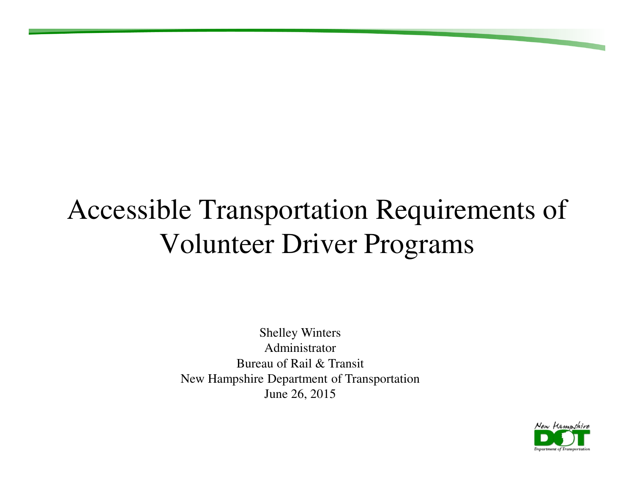### Accessible Transportation Requirements of Volunteer Driver Programs

Shelley Winters Administrator Bureau of Rail & TransitNew Hampshire Department of TransportationJune 26, 2015

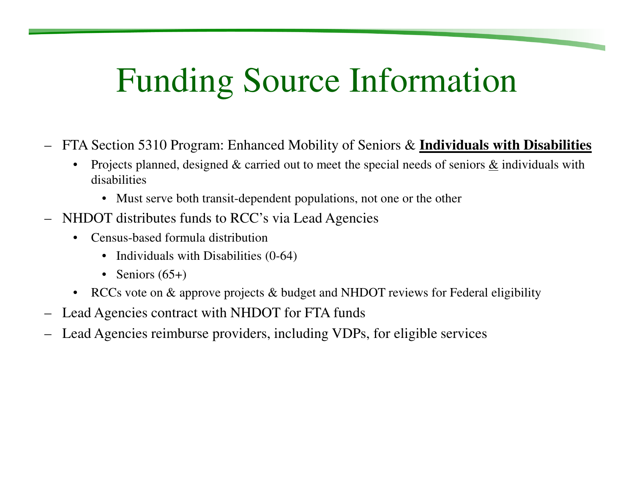## Funding Source Information

- FTA Section 5310 Program: Enhanced Mobility of Seniors & **Individuals with Disabilities**
	- $\bullet$ Projects planned, designed & carried out to meet the special needs of seniors & individuals with disabilities
		- Must serve both transit-dependent populations, not one or the other
- NHDOT distributes funds to RCC's via Lead Agencies
	- • Census-based formula distribution
		- Individuals with Disabilities (0-64)
		- Seniors (65+)
	- RCCs vote on & approve projects & budget and NHDOT reviews for Federal eligibility
- –Lead Agencies contract with NHDOT for FTA funds
- Lead Agencies reimburse providers, including VDPs, for eligible services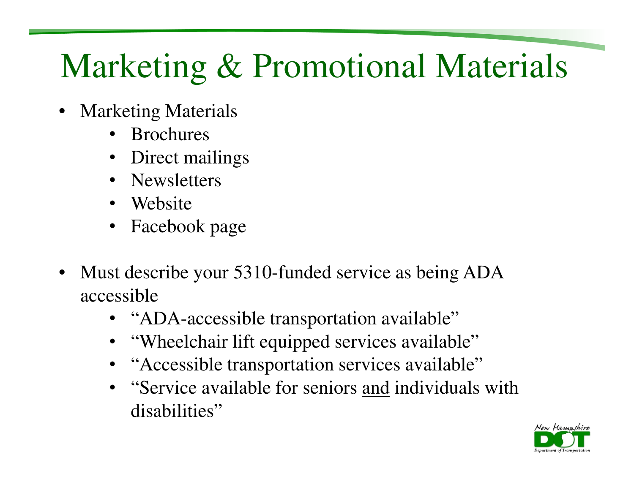## Marketing & Promotional Materials

- • Marketing Materials
	- •Brochures
	- •Direct mailings
	- Newsletters
	- Website
	- Facebook page
- • Must describe your 5310-funded service as being ADA accessible
	- "ADA-accessible transportation available"
	- "Wheelchair lift equipped services available"
	- "Accessible transportation services available"•
	- "Service available for seniors and individuals with disabilities"

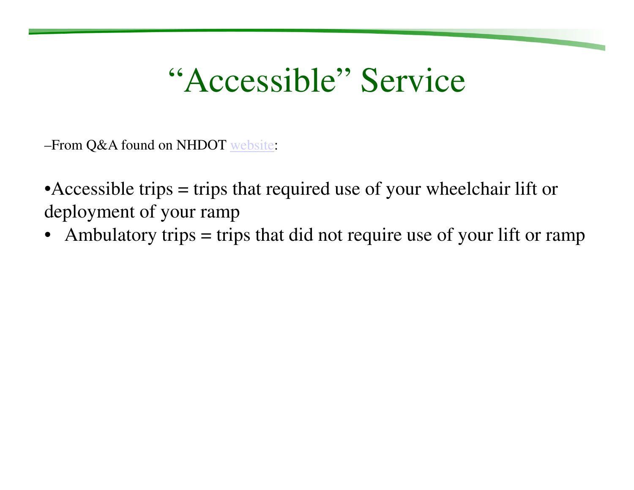### "Accessible" Service

–From Q&A found on NHDOT website:

• Accessible trips  $=$  trips that required use of your wheelchair lift or deployment of your ramp

• Ambulatory trips  $=$  trips that did not require use of your lift or ramp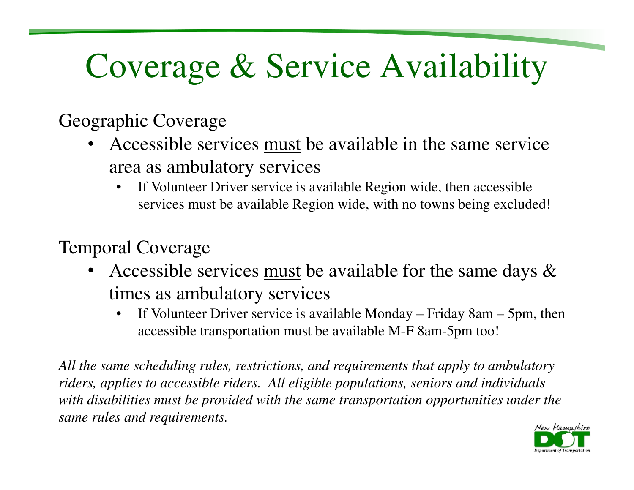# Coverage & Service Availability

Geographic Coverage

- Accessible services must be available in the same service •area as ambulatory services
	- If Volunteer Driver service is available Region wide, then accessible  $\bullet$ services must be available Region wide, with no towns being excluded!

Temporal Coverage

- Accessible services must be available for the same days & •times as ambulatory services
	- If Volunteer Driver service is available Monday Friday 8am 5pm, then  $\bullet$ accessible transportation must be available M-F 8am-5pm too!

*All the same scheduling rules, restrictions, and requirements that apply to ambulatory riders, applies to accessible riders. All eligible populations, seniors and individuals with disabilities must be provided with the same transportation opportunities under the same rules and requirements.*

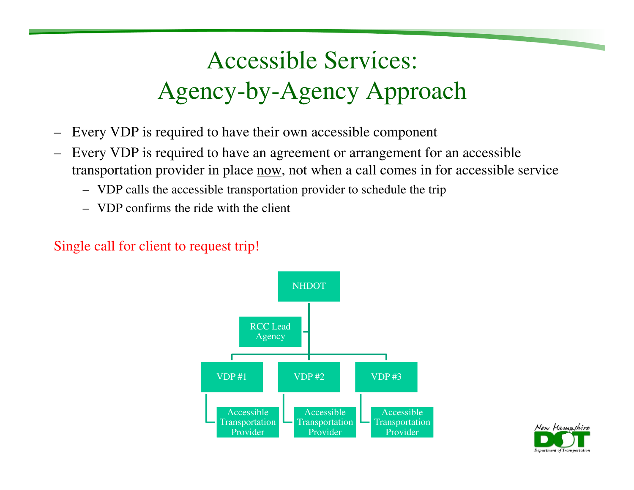#### Accessible Services: Agency-by-Agency Approach

- –Every VDP is required to have their own accessible component
- – Every VDP is required to have an agreement or arrangement for an accessible transportation provider in place <u>now</u>, not when a call comes in for accessible service
	- VDP calls the accessible transportation provider to schedule the trip
	- VDP confirms the ride with the client

#### Single call for client to request trip!



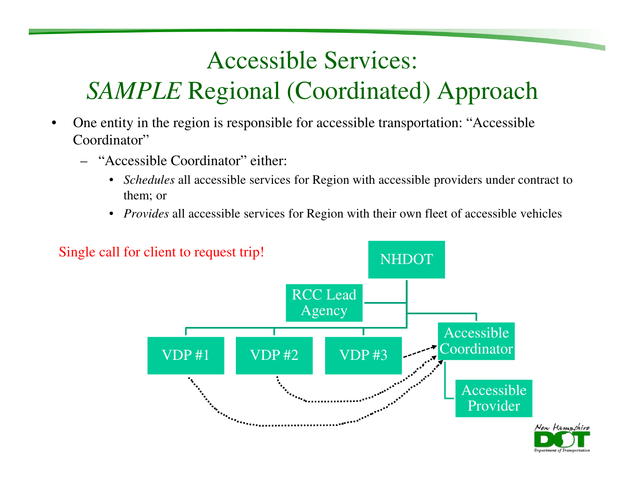### Accessible Services: *SAMPLE* Regional (Coordinated) Approach

- • One entity in the region is responsible for accessible transportation: "Accessible Coordinator"
	- "Accessible Coordinator" either:
		- *Schedules* all accessible services for Region with accessible providers under contract to them; or
		- *Provides* all accessible services for Region with their own fleet of accessible vehicles

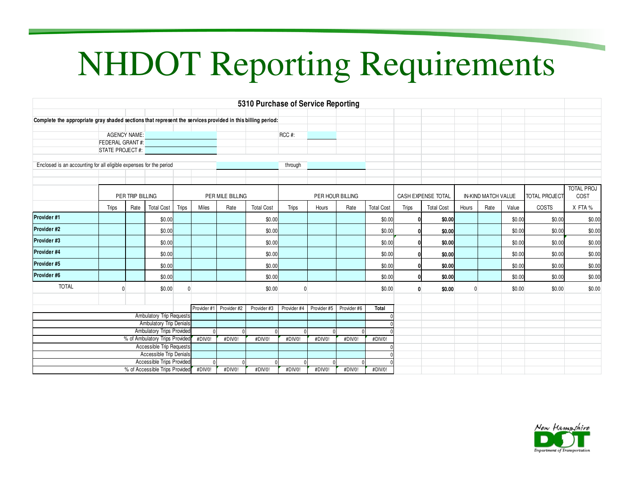# NHDOT Reporting Requirements

|                                                                                                            |                  |      |                   |             |                  |             | 5310 Purchase of Service Reporting |                  |             |                    |                   |                     |                   |                      |      |        |        |                   |
|------------------------------------------------------------------------------------------------------------|------------------|------|-------------------|-------------|------------------|-------------|------------------------------------|------------------|-------------|--------------------|-------------------|---------------------|-------------------|----------------------|------|--------|--------|-------------------|
|                                                                                                            |                  |      |                   |             |                  |             |                                    |                  |             |                    |                   |                     |                   |                      |      |        |        |                   |
| Complete the appropriate gray shaded sections that represent the services provided in this billing period: |                  |      |                   |             |                  |             |                                    |                  |             |                    |                   |                     |                   |                      |      |        |        |                   |
|                                                                                                            |                  |      |                   |             |                  |             |                                    |                  |             |                    |                   |                     |                   |                      |      |        |        |                   |
| <b>AGENCY NAME:</b><br><b>FEDERAL GRANT#:</b>                                                              |                  |      |                   |             |                  |             | RCC #:                             |                  |             |                    |                   |                     |                   |                      |      |        |        |                   |
| STATE PROJECT #:                                                                                           |                  |      |                   |             |                  |             |                                    |                  |             |                    |                   |                     |                   |                      |      |        |        |                   |
|                                                                                                            |                  |      |                   |             |                  |             |                                    |                  |             |                    |                   |                     |                   |                      |      |        |        |                   |
| Enclosed is an accounting for all eligible expenses for the period                                         |                  |      |                   |             |                  |             | through                            |                  |             |                    |                   |                     |                   |                      |      |        |        |                   |
|                                                                                                            |                  |      |                   |             |                  |             |                                    |                  |             |                    |                   |                     |                   |                      |      |        |        |                   |
|                                                                                                            |                  |      |                   |             |                  |             |                                    |                  |             |                    |                   |                     |                   |                      |      |        |        | <b>TOTAL PROJ</b> |
|                                                                                                            | PER TRIP BILLING |      |                   |             | PER MILE BILLING |             |                                    | PER HOUR BILLING |             | CASH EXPENSE TOTAL |                   | IN-KIND MATCH VALUE |                   | <b>TOTAL PROJECT</b> | COST |        |        |                   |
|                                                                                                            | Trips            | Rate | <b>Total Cost</b> | Trips       | Miles            | Rate        | <b>Total Cost</b>                  | <b>Trips</b>     | Hours       | Rate               | <b>Total Cost</b> | <b>Trips</b>        | <b>Total Cost</b> | Hours                | Rate | Value  | COSTS  | X FTA %           |
| Provider #1                                                                                                |                  |      | \$0.00            |             |                  |             | \$0.00                             |                  |             |                    | \$0.00            |                     | \$0.00            |                      |      | \$0.00 | \$0.00 | \$0.00            |
| Provider #2                                                                                                |                  |      | \$0.00            |             |                  |             | \$0.00                             |                  |             |                    | \$0.00            |                     | \$0.00            |                      |      | \$0.00 | \$0.00 | \$0.00            |
| Provider #3                                                                                                |                  |      | \$0.00            |             |                  |             | \$0.00                             |                  |             |                    | \$0.00            |                     | \$0.00            |                      |      | \$0.00 | \$0.00 | \$0.00            |
| Provider #4                                                                                                |                  |      | \$0.00            |             |                  |             | \$0.00                             |                  |             |                    | \$0.00            |                     | \$0.00            |                      |      | \$0.00 | \$0.00 | \$0.00            |
| Provider #5                                                                                                |                  |      | \$0.00            |             |                  |             | \$0.00                             |                  |             |                    | \$0.00            |                     | \$0.00            |                      |      | \$0.00 | \$0.00 | \$0.00            |
| Provider #6                                                                                                |                  |      | \$0.00            |             |                  |             | \$0.00                             |                  |             |                    | \$0.00            |                     | \$0.00            |                      |      | \$0.00 | \$0.00 | \$0.00            |
| <b>TOTAL</b>                                                                                               | 0                |      | \$0.00            | $\Omega$    |                  |             | \$0.00                             |                  |             |                    | \$0.00            | $\mathbf{0}$        | \$0.00            |                      |      | \$0.00 | \$0.00 | \$0.00            |
|                                                                                                            |                  |      |                   |             |                  |             |                                    |                  |             |                    |                   |                     |                   |                      |      |        |        |                   |
|                                                                                                            |                  |      |                   | Provider #1 | Provider #2      | Provider #3 | Provider #4                        | Provider #5      | Provider #6 | Total              |                   |                     |                   |                      |      |        |        |                   |
| Ambulatory Trip Requests                                                                                   |                  |      |                   |             |                  |             |                                    |                  |             |                    |                   |                     |                   |                      |      |        |        |                   |
| <b>Ambulatory Trip Denials</b>                                                                             |                  |      |                   |             |                  |             |                                    |                  |             |                    |                   |                     |                   |                      |      |        |        |                   |
| Ambulatory Trips Provided<br>% of Ambulatory Trips Provided                                                |                  |      |                   |             |                  |             |                                    |                  |             |                    |                   |                     |                   |                      |      |        |        |                   |
| Accessible Trip Requests                                                                                   |                  |      |                   | #DIV/0!     | #DIV/0!          | #DIV/0!     | #DIV/0!                            | #DIV/0!          | #DIV/0!     | #DIV/0!            |                   |                     |                   |                      |      |        |        |                   |
| Accessible Trip Denials                                                                                    |                  |      |                   |             |                  |             |                                    |                  |             |                    |                   |                     |                   |                      |      |        |        |                   |
| Accessible Trips Provided                                                                                  |                  |      |                   |             |                  |             |                                    |                  |             |                    |                   |                     |                   |                      |      |        |        |                   |
| % of Accessible Trips Provided                                                                             |                  |      |                   | #DIV/0!     | #DIV/0!          | #DIV/0!     | #DIV/0!                            | #DIV/0!          | #DIV/0!     | #DIV/0!            |                   |                     |                   |                      |      |        |        |                   |

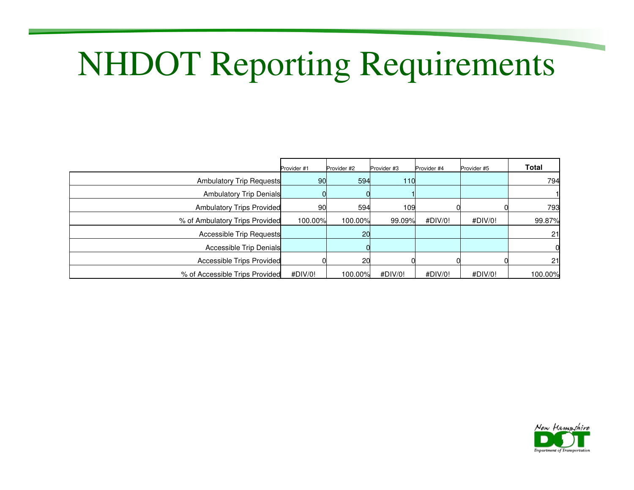# NHDOT Reporting Requirements

|                                  | Provider #1     | Provider #2 | Provider #3 | Provider #4 | Provider #5 | <b>Total</b> |
|----------------------------------|-----------------|-------------|-------------|-------------|-------------|--------------|
| <b>Ambulatory Trip Requests</b>  | 90 <sub>0</sub> | 594         | 110         |             |             | 794          |
| <b>Ambulatory Trip Denials</b>   |                 |             |             |             |             |              |
| <b>Ambulatory Trips Provided</b> | 90              | 594         | 109         |             |             | 793          |
| % of Ambulatory Trips Provided   | 100.00%         | 100.00%     | 99.09%      | #DIV/0!     | #DIV/0!     | 99.87%       |
| <b>Accessible Trip Requests</b>  |                 | <b>20</b>   |             |             |             | 21           |
| Accessible Trip Denials          |                 |             |             |             |             |              |
| <b>Accessible Trips Provided</b> |                 | 20          |             |             |             | 21           |
| % of Accessible Trips Provided   | #DIV/0!         | 100.00%     | #DIV/0!     | #DIV/0!     | #DIV/0!     | 100.00%      |

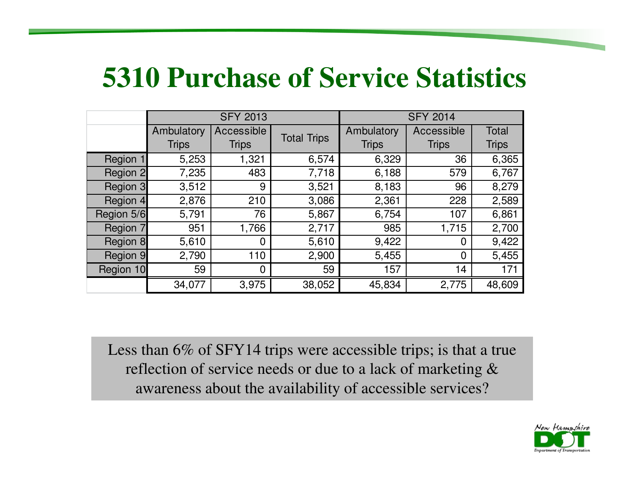#### **5310 Purchase of Service Statistics**

|            |              | <b>SFY 2013</b> |                    | <b>SFY 2014</b> |                |              |  |  |  |
|------------|--------------|-----------------|--------------------|-----------------|----------------|--------------|--|--|--|
|            | Ambulatory   | Accessible      | <b>Total Trips</b> | Ambulatory      | Accessible     | Total        |  |  |  |
|            | <b>Trips</b> | <b>Trips</b>    |                    | <b>Trips</b>    | <b>Trips</b>   | <b>Trips</b> |  |  |  |
| Region 1   | 5,253        | 1,321           | 6,574              | 6,329           | 36             | 6,365        |  |  |  |
| Region 2   | 7,235        | 483             | 7,718              | 6,188           | 579            | 6,767        |  |  |  |
| Region 3   | 3,512        | 9               | 3,521              | 8,183           | 96             | 8,279        |  |  |  |
| Region 4   | 2,876        | 210             | 3,086              | 2,361           | 228            | 2,589        |  |  |  |
| Region 5/6 | 5,791        | 76              | 5,867              | 6,754           | 107            | 6,861        |  |  |  |
| Region 7   | 951          | 1,766           | 2,717              | 985             | 1,715          | 2,700        |  |  |  |
| Region 8   | 5,610        | $\overline{0}$  | 5,610              | 9,422           | $\mathbf 0$    | 9,422        |  |  |  |
| Region 9   | 2,790        | 110             | 2,900              | 5,455           | $\overline{0}$ | 5,455        |  |  |  |
| Region 10  | 59           | $\overline{0}$  | 59                 | 157             | 14             | 171          |  |  |  |
|            | 34,077       | 3,975           | 38,052             | 45,834          | 2,775          | 48,609       |  |  |  |

Less than 6% of SFY14 trips were accessible trips; is that a true reflection of service needs or due to a lack of marketing & awareness about the availability of accessible services?

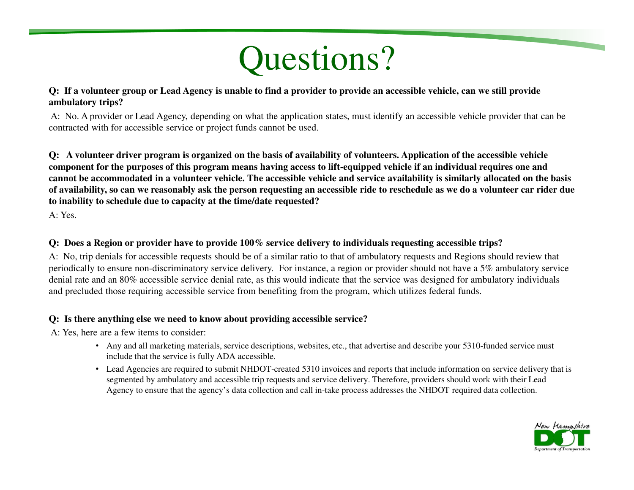## Questions?

#### **Q: If a volunteer group or Lead Agency is unable to find a provider to provide an accessible vehicle, can we still provide ambulatory trips?**

A: No. A provider or Lead Agency, depending on what the application states, must identify an accessible vehicle provider that can be contracted with for accessible service or project funds cannot be used.

**Q: A volunteer driver program is organized on the basis of availability of volunteers. Application of the accessible vehicle component for the purposes of this program means having access to lift-equipped vehicle if an individual requires one and cannot be accommodated in a volunteer vehicle. The accessible vehicle and service availability is similarly allocated on the basis of availability, so can we reasonably ask the person requesting an accessible ride to reschedule as we do a volunteer car rider due to inability to schedule due to capacity at the time/date requested?**

A: Yes.

#### **Q: Does a Region or provider have to provide 100% service delivery to individuals requesting accessible trips?**

A: No, trip denials for accessible requests should be of a similar ratio to that of ambulatory requests and Regions should review that periodically to ensure non-discriminatory service delivery. For instance, a region or provider should not have a 5% ambulatory service denial rate and an 80% accessible service denial rate, as this would indicate that the service was designed for ambulatory individuals and precluded those requiring accessible service from benefiting from the program, which utilizes federal funds.

#### **Q: Is there anything else we need to know about providing accessible service?**

A: Yes, here are a few items to consider:

- Any and all marketing materials, service descriptions, websites, etc., that advertise and describe your 5310-funded service must include that the service is fully ADA accessible.
- Lead Agencies are required to submit NHDOT-created 5310 invoices and reports that include information on service delivery that is segmented by ambulatory and accessible trip requests and service delivery. Therefore, providers should work with their Lead Agency to ensure that the agency's data collection and call in-take process addresses the NHDOT required data collection.